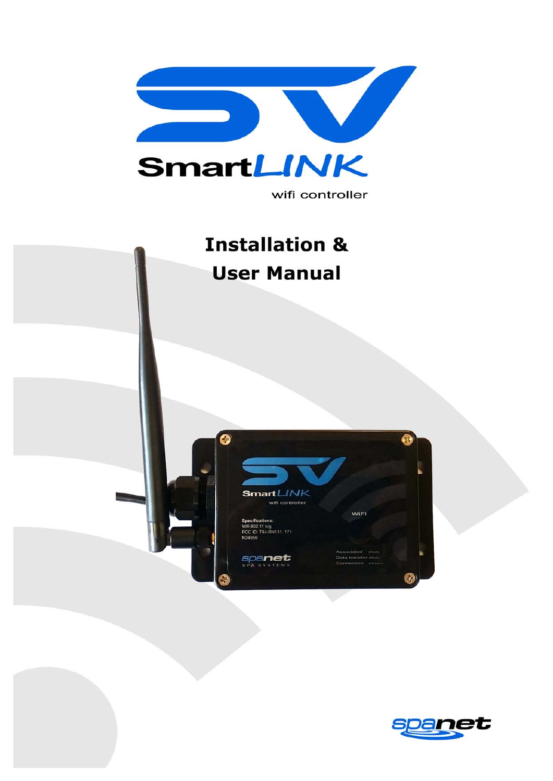

### wifi controller

# **Installation & User Manual**  $\bullet$ SmartLINK wifi controller WIFI 11 b/g<br>T9J-RN131, 171 spanet

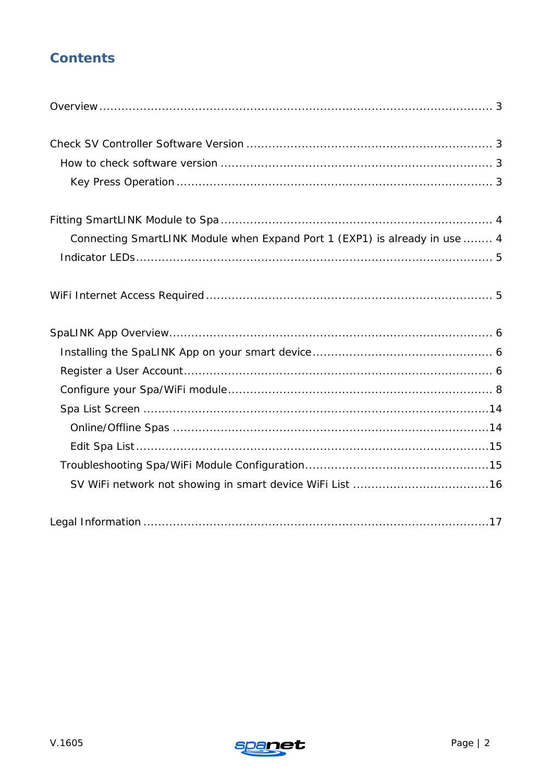# **Contents**

| Connecting SmartLINK Module when Expand Port 1 (EXP1) is already in use  4 |
|----------------------------------------------------------------------------|
|                                                                            |
|                                                                            |
|                                                                            |
|                                                                            |
|                                                                            |
|                                                                            |
|                                                                            |
|                                                                            |
|                                                                            |
|                                                                            |
|                                                                            |
|                                                                            |

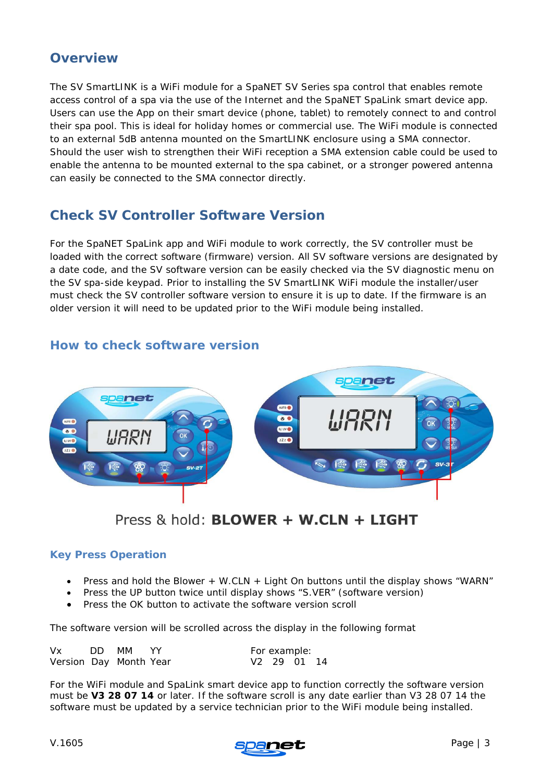## <span id="page-2-0"></span>**Overview**

The SV SmartLINK is a WiFi module for a SpaNET SV Series spa control that enables remote access control of a spa via the use of the Internet and the SpaNET SpaLink smart device app. Users can use the App on their smart device (phone, tablet) to remotely connect to and control their spa pool. This is ideal for holiday homes or commercial use. The WiFi module is connected to an external 5dB antenna mounted on the SmartLINK enclosure using a SMA connector. Should the user wish to strengthen their WiFi reception a SMA extension cable could be used to enable the antenna to be mounted external to the spa cabinet, or a stronger powered antenna can easily be connected to the SMA connector directly.

# <span id="page-2-1"></span>**Check SV Controller Software Version**

For the SpaNET SpaLink app and WiFi module to work correctly, the SV controller must be loaded with the correct software (firmware) version. All SV software versions are designated by a date code, and the SV software version can be easily checked via the SV diagnostic menu on the SV spa-side keypad. Prior to installing the SV SmartLINK WiFi module the installer/user must check the SV controller software version to ensure it is up to date. If the firmware is an older version it will need to be updated prior to the WiFi module being installed.



## <span id="page-2-2"></span>**How to check software version**

Press & hold: **BLOWER + W.CLN + LIGHT** 

## <span id="page-2-3"></span>**Key Press Operation**

- Press and hold the Blower + W.CLN + Light On buttons until the display shows "WARN"
- Press the UP button twice until display shows "S.VER" (software version)
- Press the OK button to activate the software version scroll

The software version will be scrolled across the display in the following format

| Vx                     | DD MM YY |  | For example:            |  |
|------------------------|----------|--|-------------------------|--|
| Version Day Month Year |          |  | V <sub>2</sub> 29 01 14 |  |

For the WiFi module and SpaLink smart device app to function correctly the software version must be **V3 28 07 14** or later. If the software scroll is any date earlier than V3 28 07 14 the software must be updated by a service technician prior to the WiFi module being installed.

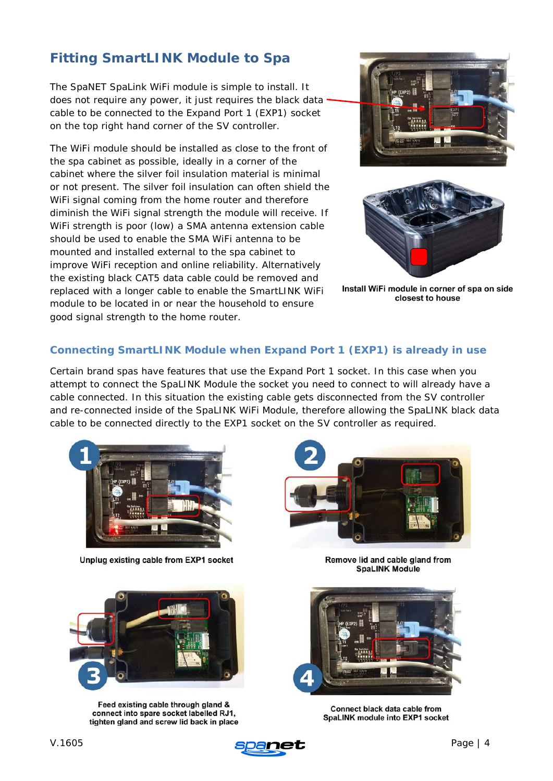# <span id="page-3-0"></span>**Fitting SmartLINK Module to Spa**

The SpaNET SpaLink WiFi module is simple to install. It does not require any power, it just requires the black data cable to be connected to the Expand Port 1 (EXP1) socket on the top right hand corner of the SV controller.

The WiFi module should be installed as close to the front of the spa cabinet as possible, ideally in a corner of the cabinet where the silver foil insulation material is minimal or not present. The silver foil insulation can often shield the WiFi signal coming from the home router and therefore diminish the WiFi signal strength the module will receive. If WiFi strength is poor (low) a SMA antenna extension cable should be used to enable the SMA WiFi antenna to be mounted and installed external to the spa cabinet to improve WiFi reception and online reliability. Alternatively the existing black CAT5 data cable could be removed and replaced with a longer cable to enable the SmartLINK WiFi module to be located in or near the household to ensure good signal strength to the home router.





Install WiFi module in corner of spa on side closest to house

## <span id="page-3-1"></span>**Connecting SmartLINK Module when Expand Port 1 (EXP1) is already in use**

Certain brand spas have features that use the Expand Port 1 socket. In this case when you attempt to connect the SpaLINK Module the socket you need to connect to will already have a cable connected. In this situation the existing cable gets disconnected from the SV controller and re-connected inside of the SpaLINK WiFi Module, therefore allowing the SpaLINK black data cable to be connected directly to the EXP1 socket on the SV controller as required.



Unplug existing cable from EXP1 socket





Feed existing cable through gland & connect into spare socket labelled RJ1, tighten gland and screw lid back in place

Remove lid and cable gland from **SpaLINK Module** 



Connect black data cable from SpaLINK module into EXP1 socket

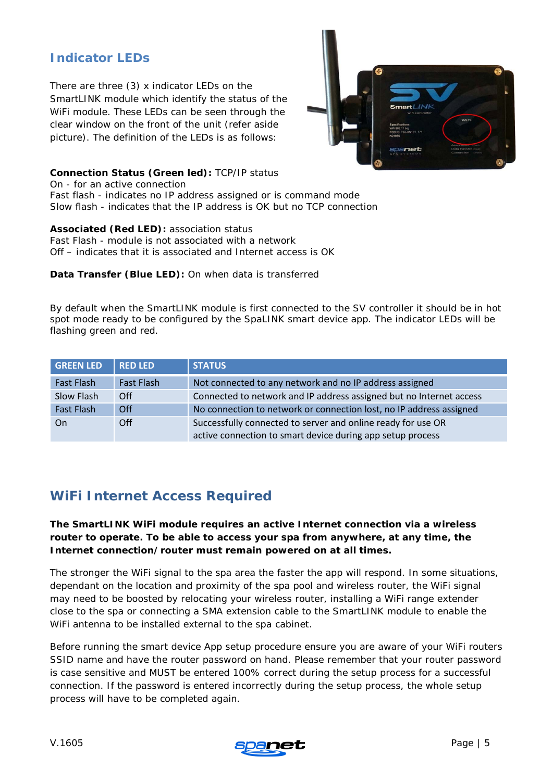## <span id="page-4-0"></span>**Indicator LEDs**

There are three (3) x indicator LEDs on the SmartLINK module which identify the status of the WiFi module. These LEDs can be seen through the clear window on the front of the unit (refer aside picture). The definition of the LEDs is as follows:



#### **Connection Status (Green led):** *TCP/IP status*

On - for an active connection Fast flash - indicates no IP address assigned or is command mode Slow flash - indicates that the IP address is OK but no TCP connection

#### **Associated (Red LED):** *association status*

Fast Flash - module is not associated with a network Off – indicates that it is associated and Internet access is OK

**Data Transfer (Blue LED):** On when data is transferred

By default when the SmartLINK module is first connected to the SV controller it should be in hot spot mode ready to be configured by the SpaLINK smart device app. The indicator LEDs will be flashing green and red.

| <b>GREEN LED</b>  | <b>RED LED</b>    | <b>STATUS</b>                                                                                                              |
|-------------------|-------------------|----------------------------------------------------------------------------------------------------------------------------|
| Fast Flash        | <b>Fast Flash</b> | Not connected to any network and no IP address assigned                                                                    |
| Slow Flash        | Off               | Connected to network and IP address assigned but no Internet access                                                        |
| <b>Fast Flash</b> | Off               | No connection to network or connection lost, no IP address assigned                                                        |
| <b>On</b>         | Off               | Successfully connected to server and online ready for use OR<br>active connection to smart device during app setup process |

# <span id="page-4-1"></span>**WiFi Internet Access Required**

#### **The SmartLINK WiFi module requires an active Internet connection via a wireless router to operate. To be able to access your spa from anywhere, at any time, the Internet connection/router must remain powered on at all times.**

The stronger the WiFi signal to the spa area the faster the app will respond. In some situations, dependant on the location and proximity of the spa pool and wireless router, the WiFi signal may need to be boosted by relocating your wireless router, installing a WiFi range extender close to the spa or connecting a SMA extension cable to the SmartLINK module to enable the WiFi antenna to be installed external to the spa cabinet.

Before running the smart device App setup procedure ensure you are aware of your WiFi routers SSID name and have the router password on hand. Please remember that your router password is case sensitive and MUST be entered 100% correct during the setup process for a successful connection. If the password is entered incorrectly during the setup process, the whole setup process will have to be completed again.

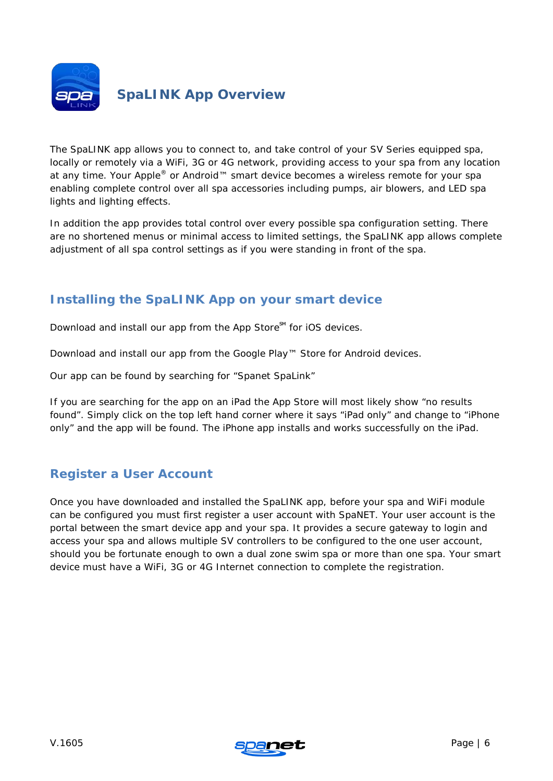<span id="page-5-0"></span>

# **SpaLINK App Overview**

The SpaLINK app allows you to connect to, and take control of your SV Series equipped spa, locally or remotely via a WiFi, 3G or 4G network, providing access to your spa from any location at any time. Your Apple® or Android™ smart device becomes a wireless remote for your spa enabling complete control over all spa accessories including pumps, air blowers, and LED spa lights and lighting effects.

In addition the app provides total control over every possible spa configuration setting. There are no shortened menus or minimal access to limited settings, the SpaLINK app allows complete adjustment of all spa control settings as if you were standing in front of the spa.

## <span id="page-5-1"></span>**Installing the SpaLINK App on your smart device**

Download and install our app from the App Store<sup>™</sup> for iOS devices.

Download and install our app from the Google Play™ Store for Android devices.

Our app can be found by searching for "Spanet SpaLink"

If you are searching for the app on an iPad the App Store will most likely show "no results found". Simply click on the top left hand corner where it says "iPad only" and change to "iPhone only" and the app will be found. The iPhone app installs and works successfully on the iPad.

## <span id="page-5-2"></span>**Register a User Account**

Once you have downloaded and installed the SpaLINK app, before your spa and WiFi module can be configured you must first register a user account with SpaNET. Your user account is the portal between the smart device app and your spa. It provides a secure gateway to login and access your spa and allows multiple SV controllers to be configured to the one user account, should you be fortunate enough to own a dual zone swim spa or more than one spa. Your smart device must have a WiFi, 3G or 4G Internet connection to complete the registration.

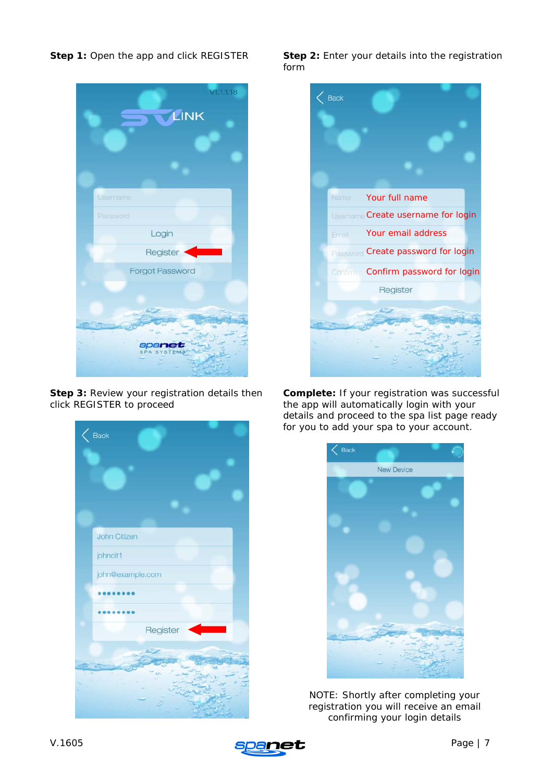



**Step 3:** Review your registration details then click REGISTER to proceed

| $\langle$ Back    |          |
|-------------------|----------|
|                   |          |
|                   |          |
|                   |          |
| John Citizen      |          |
| johncit1          |          |
| john@example.com  |          |
| <b>Contractor</b> |          |
|                   |          |
|                   | Register |
|                   |          |
|                   |          |

**Step 1:** Open the app and click REGISTER **Step 2:** Enter your details into the registration form



**Complete:** If your registration was successful the app will automatically login with your details and proceed to the spa list page ready for you to add your spa to your account.



*NOTE: Shortly after completing your registration you will receive an email confirming your login details*

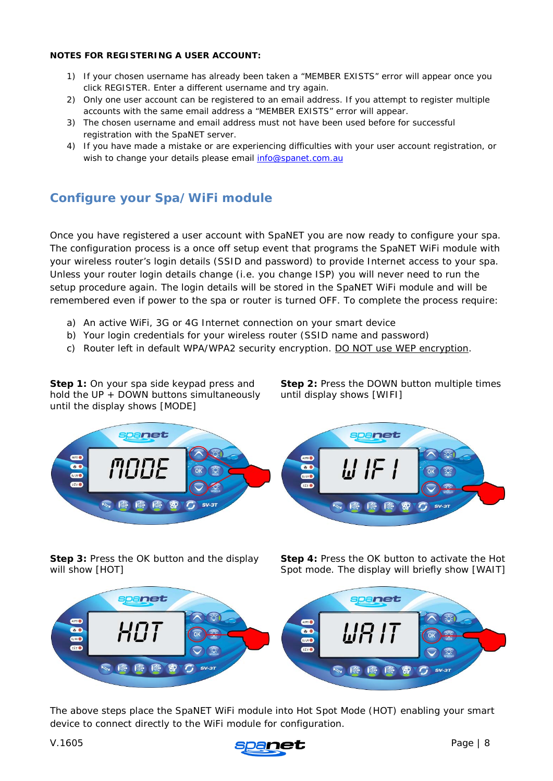#### **NOTES FOR REGISTERING A USER ACCOUNT:**

- 1) If your chosen username has already been taken a "MEMBER EXISTS" error will appear once you click REGISTER. Enter a different username and try again.
- 2) Only one user account can be registered to an email address. If you attempt to register multiple accounts with the same email address a "MEMBER EXISTS" error will appear.
- 3) The chosen username and email address must not have been used before for successful registration with the SpaNET server.
- 4) If you have made a mistake or are experiencing difficulties with your user account registration, or wish to change your details please email [info@spanet.com.au](mailto:info@spanet.com.au)

## <span id="page-7-0"></span>**Configure your Spa/WiFi module**

Once you have registered a user account with SpaNET you are now ready to configure your spa. The configuration process is a once off setup event that programs the SpaNET WiFi module with your wireless router's login details (SSID and password) to provide Internet access to your spa. Unless your router login details change (i.e. you change ISP) you will never need to run the setup procedure again. The login details will be stored in the SpaNET WiFi module and will be remembered even if power to the spa or router is turned OFF. To complete the process require:

- a) An active WiFi, 3G or 4G Internet connection on your smart device
- b) Your login credentials for your wireless router (SSID name and password)
- c) Router left in default WPA/WPA2 security encryption. DO NOT use WEP encryption.

**Step 1:** On your spa side keypad press and hold the UP + DOWN buttons simultaneously until the display shows [MODE]

**Step 2:** Press the DOWN button multiple times until display shows [WIFI]



**Step 3:** Press the OK button and the display will show [HOT]

**Step 4:** Press the OK button to activate the Hot Spot mode. The display will briefly show [WAIT]



The above steps place the SpaNET WiFi module into Hot Spot Mode (HOT) enabling your smart device to connect directly to the WiFi module for configuration.

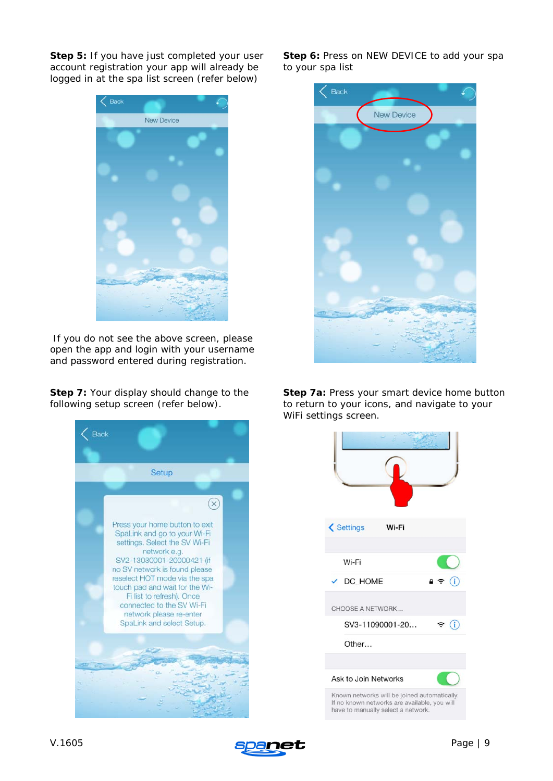**Step 5:** If you have just completed your user account registration your app will already be logged in at the spa list screen (refer below)



*If you do not see the above screen, please open the app and login with your username and password entered during registration.*

**Step 7:** Your display should change to the following setup screen (refer below).



**Step 6:** Press on NEW DEVICE to add your spa to your spa list



**Step 7a:** Press your smart device home button to return to your icons, and navigate to your WiFi settings screen.



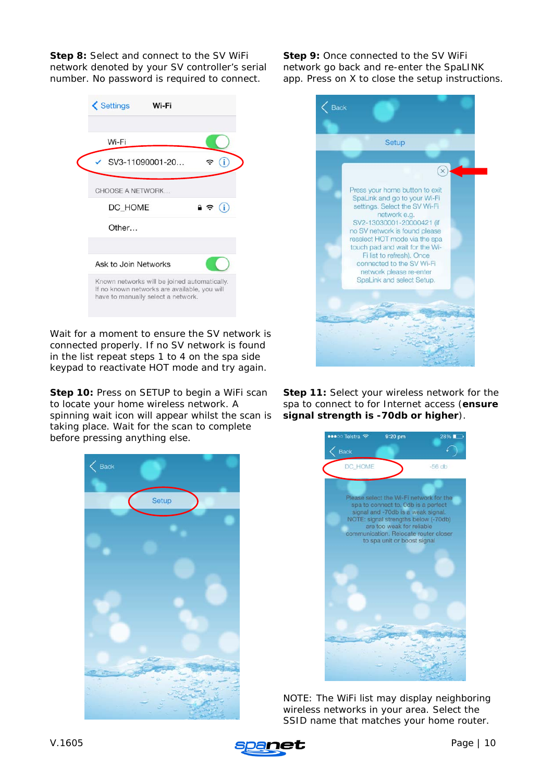**Step 8:** Select and connect to the SV WiFi network denoted by your SV controller's serial number. No password is required to connect.

| <b>くSettings</b><br>Wi-Fi                                                                                                          |                   |
|------------------------------------------------------------------------------------------------------------------------------------|-------------------|
| Wi-Fi                                                                                                                              |                   |
| SV3-11090001-20                                                                                                                    | (i)<br>÷.         |
| <b>CHOOSE A NETWORK</b>                                                                                                            |                   |
| DC HOME                                                                                                                            | $\bullet \in (i)$ |
| Other                                                                                                                              |                   |
| Ask to Join Networks                                                                                                               |                   |
| Known networks will be joined automatically.<br>If no known networks are available, you will<br>have to manually select a network. |                   |

*Wait for a moment to ensure the SV network is connected properly. If no SV network is found in the list repeat steps 1 to 4 on the spa side keypad to reactivate HOT mode and try again.*

**Step 10:** Press on SETUP to begin a WiFi scan to locate your home wireless network. A spinning wait icon will appear whilst the scan is taking place. Wait for the scan to complete before pressing anything else.

| $\langle$ Back |       |  |
|----------------|-------|--|
|                | Setup |  |
|                |       |  |
|                |       |  |
|                |       |  |
|                |       |  |
|                |       |  |
|                |       |  |
|                |       |  |
|                |       |  |
|                |       |  |
|                |       |  |
|                |       |  |
|                |       |  |
| <b>PET I</b>   |       |  |
|                |       |  |
|                |       |  |
|                |       |  |

**Step 9:** Once connected to the SV WiFi network go back and re-enter the SpaLINK app. Press on X to close the setup instructions.



**Step 11:** Select your wireless network for the spa to connect to for Internet access (**ensure signal strength is -70db or higher**).



*NOTE: The WiFi list may display neighboring wireless networks in your area. Select the SSID name that matches your home router.*

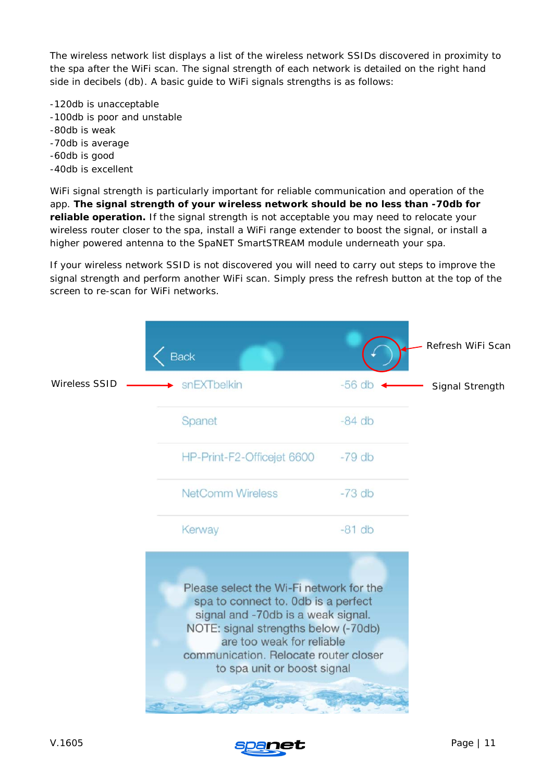The wireless network list displays a list of the wireless network SSIDs discovered in proximity to the spa after the WiFi scan. The signal strength of each network is detailed on the right hand side in decibels (db). A basic guide to WiFi signals strengths is as follows:

- -120db is unacceptable -100db is poor and unstable -80db is weak -70db is average -60db is good
- -40db is excellent

WiFi signal strength is particularly important for reliable communication and operation of the app. **The signal strength of your wireless network should be no less than -70db for reliable operation.** If the signal strength is not acceptable you may need to relocate your wireless router closer to the spa, install a WiFi range extender to boost the signal, or install a higher powered antenna to the SpaNET SmartSTREAM module underneath your spa.

If your wireless network SSID is not discovered you will need to carry out steps to improve the signal strength and perform another WiFi scan. Simply press the refresh button at the top of the screen to re-scan for WiFi networks.



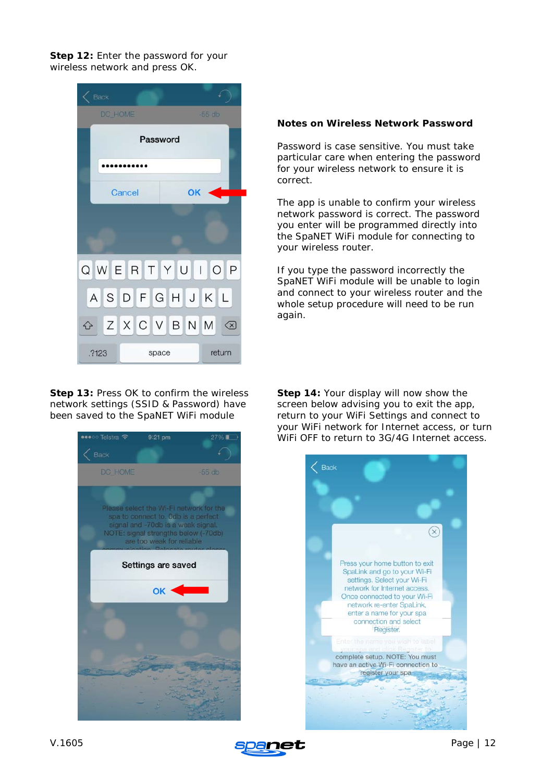**Step 12:** Enter the password for your wireless network and press OK.



**Step 13: Press OK to confirm the wireless** network settings (SSID & Password) have been saved to the SpaNET WiFi module



#### **Notes on Wireless Network Password**

Password is case sensitive. You must take particular care when entering the password for your wireless network to ensure it is correct.

The app is unable to confirm your wireless network password is correct. The password you enter will be programmed directly into the SpaNET WiFi module for connecting to your wireless router.

If you type the password incorrectly the SpaNET WiFi module will be unable to login and connect to your wireless router and the whole setup procedure will need to be run again.

**Step 14:** Your display will now show the screen below advising you to exit the app, return to your WiFi Settings and connect to your WiFi network for Internet access, or turn WiFi OFF to return to 3G/4G Internet access.



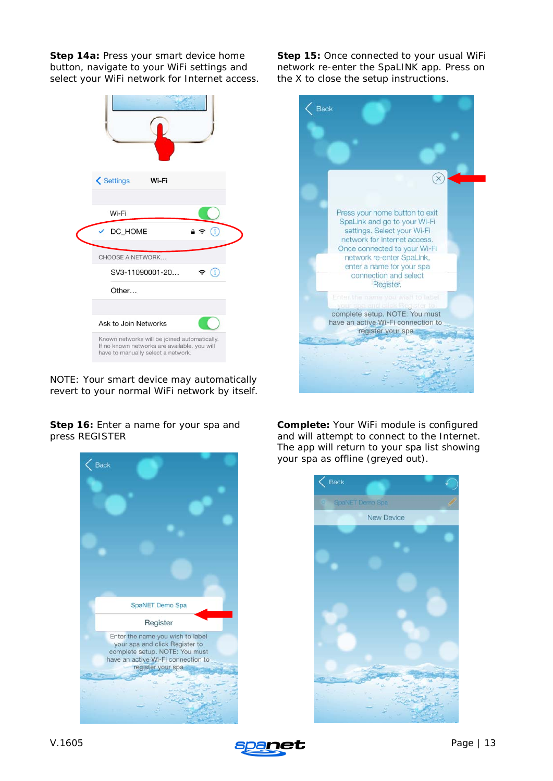**Step 14a:** Press your smart device home button, navigate to your WiFi settings and select your WiFi network for Internet access.

| <b>くSettings</b><br>Wi-Fi<br>Wi-Fi<br>DC_HOME                                                                                      | G <sup>-</sup><br>$\rightarrow$ |
|------------------------------------------------------------------------------------------------------------------------------------|---------------------------------|
|                                                                                                                                    |                                 |
| CHOOSE A NETWORK                                                                                                                   |                                 |
| SV3-11090001-20                                                                                                                    | $\left( i\right)$<br>÷.         |
| Other                                                                                                                              |                                 |
|                                                                                                                                    |                                 |
| Ask to Join Networks                                                                                                               |                                 |
| Known networks will be joined automatically.<br>If no known networks are available, you will<br>have to manually select a network. |                                 |

*NOTE: Your smart device may automatically revert to your normal WiFi network by itself.*

**Step 15:** Once connected to your usual WiFi network re-enter the SpaLINK app. Press on the X to close the setup instructions.



**Step 16:** Enter a name for your spa and press REGISTER



**Complete:** Your WiFi module is configured and will attempt to connect to the Internet. The app will return to your spa list showing your spa as offline (greyed out).



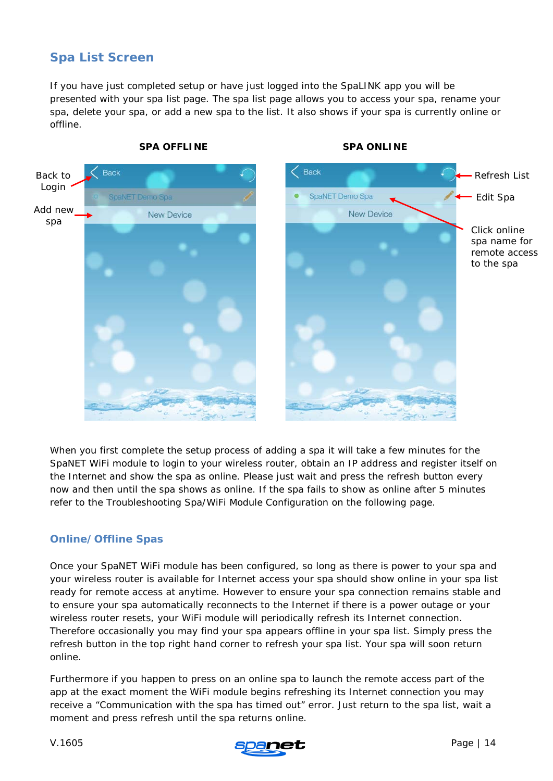## <span id="page-13-0"></span>**Spa List Screen**

If you have just completed setup or have just logged into the SpaLINK app you will be presented with your spa list page. The spa list page allows you to access your spa, rename your spa, delete your spa, or add a new spa to the list. It also shows if your spa is currently online or offline.



**SPA OFFLINE SPA ONLINE** 

When you first complete the setup process of adding a spa it will take a few minutes for the SpaNET WiFi module to login to your wireless router, obtain an IP address and register itself on the Internet and show the spa as online. Please just wait and press the refresh button every now and then until the spa shows as online. If the spa fails to show as online after 5 minutes refer to the Troubleshooting Spa/WiFi Module Configuration on the following page.

## <span id="page-13-1"></span>**Online/Offline Spas**

Once your SpaNET WiFi module has been configured, so long as there is power to your spa and your wireless router is available for Internet access your spa should show online in your spa list ready for remote access at anytime. However to ensure your spa connection remains stable and to ensure your spa automatically reconnects to the Internet if there is a power outage or your wireless router resets, your WiFi module will periodically refresh its Internet connection. Therefore occasionally you may find your spa appears offline in your spa list. Simply press the refresh button in the top right hand corner to refresh your spa list. Your spa will soon return online.

Furthermore if you happen to press on an online spa to launch the remote access part of the app at the exact moment the WiFi module begins refreshing its Internet connection you may receive a "Communication with the spa has timed out" error. Just return to the spa list, wait a moment and press refresh until the spa returns online.



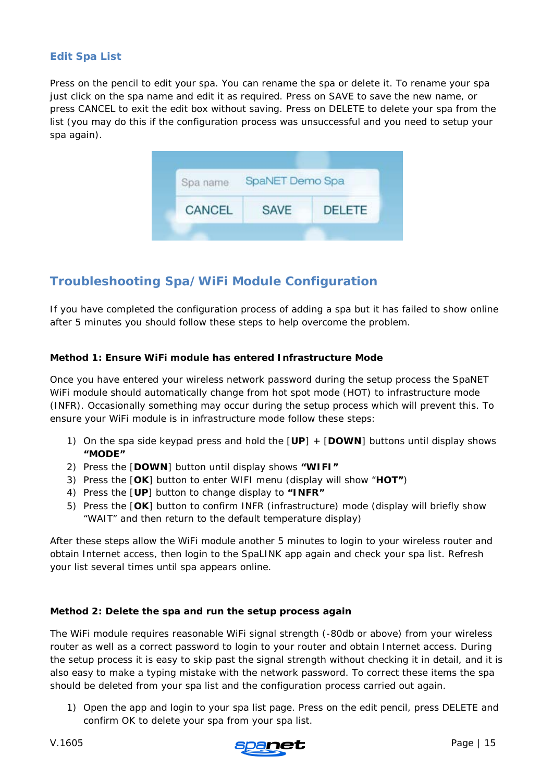## <span id="page-14-0"></span>**Edit Spa List**

Press on the pencil to edit your spa. You can rename the spa or delete it. To rename your spa just click on the spa name and edit it as required. Press on SAVE to save the new name, or press CANCEL to exit the edit box without saving. Press on DELETE to delete your spa from the list (you may do this if the configuration process was unsuccessful and you need to setup your spa again).

| Spa name | SpaNET Demo Spa |               |
|----------|-----------------|---------------|
| CANCEL   | <b>SAVE</b>     | <b>DELETE</b> |

## <span id="page-14-1"></span>**Troubleshooting Spa/WiFi Module Configuration**

If you have completed the configuration process of adding a spa but it has failed to show online after 5 minutes you should follow these steps to help overcome the problem.

#### **Method 1: Ensure WiFi module has entered Infrastructure Mode**

Once you have entered your wireless network password during the setup process the SpaNET WiFi module should automatically change from hot spot mode (HOT) to infrastructure mode (INFR). Occasionally something may occur during the setup process which will prevent this. To ensure your WiFi module is in infrastructure mode follow these steps:

- 1) On the spa side keypad press and hold the [**UP**] + [**DOWN**] buttons until display shows **"MODE"**
- 2) Press the [**DOWN**] button until display shows **"WIFI"**
- 3) Press the [**OK**] button to enter WIFI menu (display will show "**HOT"**)
- 4) Press the [**UP**] button to change display to **"INFR"**
- 5) Press the [**OK**] button to confirm INFR (infrastructure) mode *(display will briefly show "WAIT" and then return to the default temperature display)*

After these steps allow the WiFi module another 5 minutes to login to your wireless router and obtain Internet access, then login to the SpaLINK app again and check your spa list. Refresh your list several times until spa appears online.

#### **Method 2: Delete the spa and run the setup process again**

The WiFi module requires reasonable WiFi signal strength (-80db or above) from your wireless router as well as a correct password to login to your router and obtain Internet access. During the setup process it is easy to skip past the signal strength without checking it in detail, and it is also easy to make a typing mistake with the network password. To correct these items the spa should be deleted from your spa list and the configuration process carried out again.

1) Open the app and login to your spa list page. Press on the edit pencil, press DELETE and confirm OK to delete your spa from your spa list.

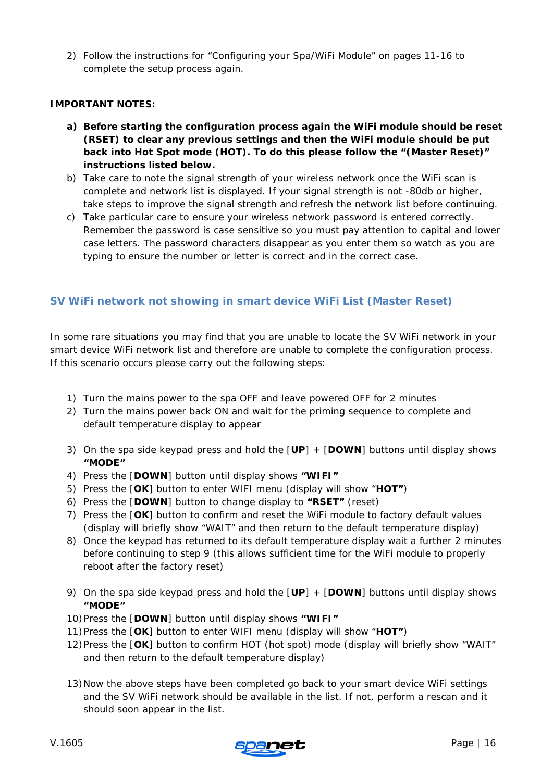2) Follow the instructions for "Configuring your Spa/WiFi Module" on pages 11-16 to complete the setup process again.

#### **IMPORTANT NOTES:**

- **a) Before starting the configuration process again the WiFi module should be reset (RSET) to clear any previous settings and then the WiFi module should be put back into Hot Spot mode (HOT). To do this please follow the "(Master Reset)" instructions listed below.**
- b) Take care to note the signal strength of your wireless network once the WiFi scan is complete and network list is displayed. If your signal strength is not -80db or higher, take steps to improve the signal strength and refresh the network list before continuing.
- c) Take particular care to ensure your wireless network password is entered correctly. Remember the password is case sensitive so you must pay attention to capital and lower case letters. The password characters disappear as you enter them so watch as you are typing to ensure the number or letter is correct and in the correct case.

## <span id="page-15-0"></span>**SV WiFi network not showing in smart device WiFi List (Master Reset)**

In some rare situations you may find that you are unable to locate the SV WiFi network in your smart device WiFi network list and therefore are unable to complete the configuration process. If this scenario occurs please carry out the following steps:

- 1) Turn the mains power to the spa OFF and leave powered OFF for 2 minutes
- 2) Turn the mains power back ON and wait for the priming sequence to complete and default temperature display to appear
- 3) On the spa side keypad press and hold the [**UP**] + [**DOWN**] buttons until display shows **"MODE"**
- 4) Press the [**DOWN**] button until display shows **"WIFI"**
- 5) Press the [**OK**] button to enter WIFI menu (display will show "**HOT"**)
- 6) Press the [**DOWN**] button to change display to **"RSET"** (reset)
- 7) Press the [**OK**] button to confirm and reset the WiFi module to factory default values *(display will briefly show "WAIT" and then return to the default temperature display)*
- 8) Once the keypad has returned to its default temperature display wait a further 2 minutes before continuing to step 9 *(this allows sufficient time for the WiFi module to properly reboot after the factory reset)*
- 9) On the spa side keypad press and hold the [**UP**] + [**DOWN**] buttons until display shows **"MODE"**
- 10)Press the [**DOWN**] button until display shows **"WIFI"**
- 11)Press the [**OK**] button to enter WIFI menu (display will show "**HOT"**)
- 12)Press the [**OK**] button to confirm HOT (hot spot) mode *(display will briefly show "WAIT" and then return to the default temperature display)*
- 13)Now the above steps have been completed go back to your smart device WiFi settings and the SV WiFi network should be available in the list. If not, perform a rescan and it should soon appear in the list.